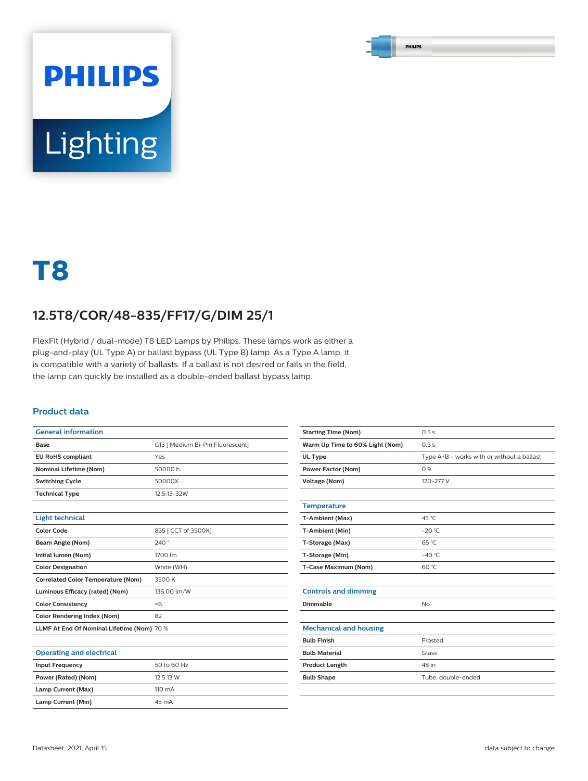# **PHILIPS Lighting**

## **T8**

### **12.5T8/COR/48-835/FF17/G/DIM 25/1**

FlexFit (Hybrid / dual-mode) T8 LED Lamps by Philips. These lamps work as either a plug-and-play (UL Type A) or ballast bypass (UL Type B) lamp. As a Type A lamp, it is compatible with a variety of ballasts. If a ballast is not desired or fails in the field, the lamp can quickly be installed as a double-ended ballast bypass lamp.

#### **Product data**

| <b>General information</b>                 |                                  |
|--------------------------------------------|----------------------------------|
| Base                                       | G13   Medium Bi-Pin Fluorescent] |
| <b>EU RoHS compliant</b>                   | Yes                              |
| <b>Nominal Lifetime (Nom)</b>              | 50000 h                          |
| <b>Switching Cycle</b>                     | 50000X                           |
| <b>Technical Type</b>                      | 12.5:13-32W                      |
|                                            |                                  |
| <b>Light technical</b>                     |                                  |
| <b>Color Code</b>                          | 835   CCT of 3500K]              |
| Beam Angle (Nom)                           | 240°                             |
| Initial lumen (Nom)                        | 1700 lm                          |
| <b>Color Designation</b>                   | White (WH)                       |
| <b>Correlated Color Temperature (Nom)</b>  | 3500 K                           |
| Luminous Efficacy (rated) (Nom)            | 136.00 lm/W                      |
| <b>Color Consistency</b>                   | <6                               |
| <b>Color Rendering Index (Nom)</b>         | 82                               |
| LLMF At End Of Nominal Lifetime (Nom) 70 % |                                  |
|                                            |                                  |
| .                                          |                                  |

| <b>Operating and electrical</b> |                  |
|---------------------------------|------------------|
| <b>Input Frequency</b>          | 50 to 60 Hz      |
| Power (Rated) (Nom)             | 12.5 13 W        |
| Lamp Current (Max)              | $110 \text{ mA}$ |
| Lamp Current (Min)              | 45 mA            |

| <b>Starting Time (Nom)</b>      | 0.5s                                       |
|---------------------------------|--------------------------------------------|
| Warm Up Time to 60% Light (Nom) | 0.5s                                       |
| <b>UL Type</b>                  | Type A+B - works with or without a ballast |
| <b>Power Factor (Nom)</b>       | 0.9                                        |
| <b>Voltage (Nom)</b>            | 120-277 V                                  |
|                                 |                                            |
| <b>Temperature</b>              |                                            |
| T-Ambient (Max)                 | 45 °C                                      |
| T-Ambient (Min)                 | $-20 °C$                                   |
| T-Storage (Max)                 | 65 °C                                      |
| T-Storage (Min)                 | $-40^{\circ}$ C                            |
| T-Case Maximum (Nom)            | 60 °C                                      |
|                                 |                                            |
| <b>Controls and dimming</b>     |                                            |
| Dimmable                        | <b>No</b>                                  |
|                                 |                                            |
| <b>Mechanical and housing</b>   |                                            |
| <b>Bulb Finish</b>              | Frosted                                    |
| <b>Bulb Material</b>            | Glass                                      |
| <b>Product Length</b>           | 48 in                                      |
| <b>Bulb Shape</b>               | Tube, double-ended                         |
|                                 |                                            |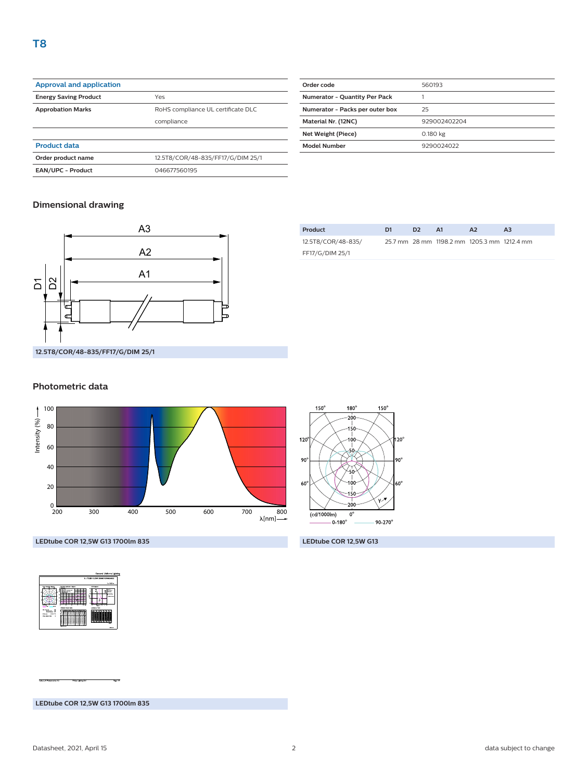| <b>Approval and application</b> |                                    |
|---------------------------------|------------------------------------|
| <b>Energy Saving Product</b>    | Yes                                |
| <b>Approbation Marks</b>        | RoHS compliance UL certificate DLC |
|                                 | compliance                         |
|                                 |                                    |
| <b>Product data</b>             |                                    |
| Order product name              | 12.5T8/COR/48-835/FF17/G/DIM 25/1  |
| <b>EAN/UPC - Product</b>        | 046677560195                       |

| Order code                      | 560193       |
|---------------------------------|--------------|
| Numerator - Quantity Per Pack   |              |
| Numerator - Packs per outer box | 25           |
| Material Nr. (12NC)             | 929002402204 |
| Net Weight (Piece)              | 0.180 kg     |
| <b>Model Number</b>             | 9290024022   |
|                                 |              |

#### **Dimensional drawing**



#### **Product D1 D2 A1 A2 A3** 12.5T8/COR/48-835/ FF17/G/DIM 25/1 25.7 mm 28 mm 1198.2 mm 1205.3 mm 1212.4 mm

#### **Photometric data**





**LEDtube COR 12,5W G13 1700lm 835 LEDtube COR 12,5W G13**

|                                                                                                                                        | General Uniform Lighting<br>1 x TLED 12.5W 3590K 9290014022                                                                                                                                                                                                                                                                                                                                                            |
|----------------------------------------------------------------------------------------------------------------------------------------|------------------------------------------------------------------------------------------------------------------------------------------------------------------------------------------------------------------------------------------------------------------------------------------------------------------------------------------------------------------------------------------------------------------------|
|                                                                                                                                        | 1 x 1900 to:<br>USK-burns<br><b>Custom administration</b>                                                                                                                                                                                                                                                                                                                                                              |
| Pay Honey Away<br>$-1$<br>$\sim$                                                                                                       | z.<br>--<br>20.541<br>$-0.000$<br><b>Service New 14</b><br>$\sim$<br><b>CONTRACTOR</b><br>---<br>-----<br><b>Lentrena Tale</b><br><b><i><u>International Security and Con-</u></i></b>                                                                                                                                                                                                                                 |
| 14<br><br>- 22<br><b>Service property</b><br><b>Scott Exclusive Ave.</b><br>PARKW<br><b>CALL COM</b><br>When we do I feel<br>$\lambda$ | c<br>œ<br>==<br>÷<br>÷<br>c<br>÷<br>::<br>٠<br>an a<br>Ξ<br>c<br>Ξ<br>c<br>٠<br>,,,,<br>-<br>œ<br>Ξ<br>c<br>Ξ<br>٠<br>u s<br>÷<br>٠<br>÷<br>z<br>÷<br><b>122.00</b><br>÷<br>÷<br>Ξ<br>ī<br>Ξ<br>c<br>а<br>٠<br>٠<br>u<br>н<br>÷<br>--<br>==<br>œ<br>Ξ<br>ï<br>s<br>÷<br>ï<br>m<br>$\overline{\phantom{a}}$<br><b>Security</b><br>$\overline{\phantom{a}}$<br>$\mathbf{u}$<br>×<br>$\sim$<br><br>22<br>--<br>$-$<br>--- |

**LEDtube COR 12,5W G13 1700lm 835**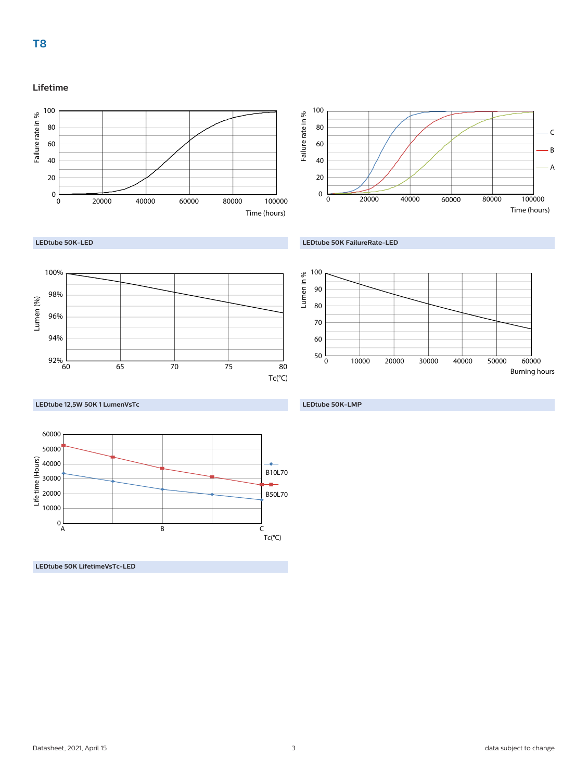#### **Lifetime**





#### **LEDtube 50K-LED**





**LEDtube 12,5W 50K 1 LumenVsTc**



**LEDtube 50K LifetimeVsTc-LED**



#### **LEDtube 50K-LMP**